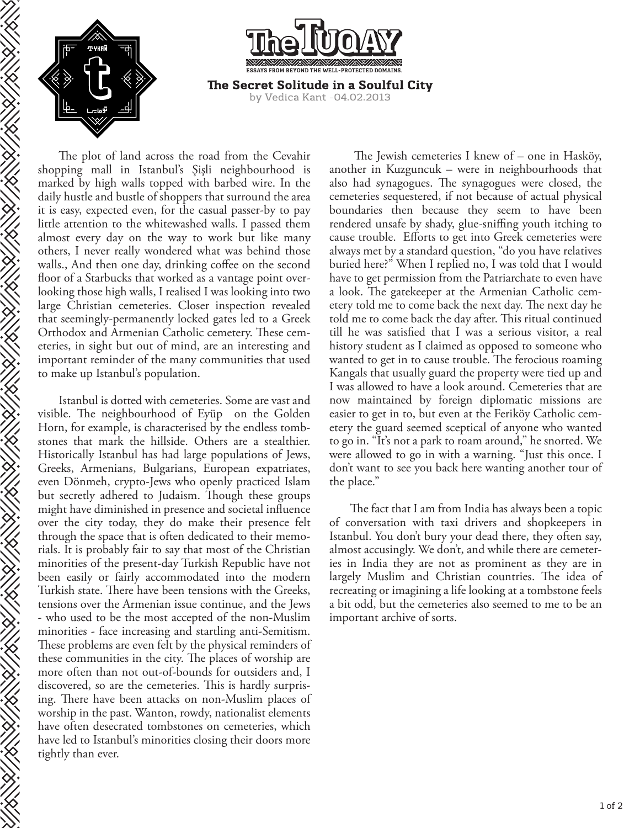

**HANNAIREA** 

KANA KANA KANA KA



The plot of land across the road from the Cevahir shopping mall in Istanbul's Şişli neighbourhood is marked by high walls topped with barbed wire. In the daily hustle and bustle of shoppers that surround the area it is easy, expected even, for the casual passer-by to pay little attention to the whitewashed walls. I passed them almost every day on the way to work but like many others, I never really wondered what was behind those walls., And then one day, drinking coffee on the second floor of a Starbucks that worked as a vantage point overlooking those high walls, I realised I was looking into two large Christian cemeteries. Closer inspection revealed that seemingly-permanently locked gates led to a Greek Orthodox and Armenian Catholic cemetery. These cemeteries, in sight but out of mind, are an interesting and important reminder of the many communities that used to make up Istanbul's population.

Istanbul is dotted with cemeteries. Some are vast and visible. The neighbourhood of Eyüp on the Golden Horn, for example, is characterised by the endless tombstones that mark the hillside. Others are a stealthier. Historically Istanbul has had large populations of Jews, Greeks, Armenians, Bulgarians, European expatriates, even Dönmeh, crypto-Jews who openly practiced Islam but secretly adhered to Judaism. Though these groups might have diminished in presence and societal influence over the city today, they do make their presence felt through the space that is often dedicated to their memorials. It is probably fair to say that most of the Christian minorities of the present-day Turkish Republic have not been easily or fairly accommodated into the modern Turkish state. There have been tensions with the Greeks, tensions over the Armenian issue continue, and the Jews - who used to be the most accepted of the non-Muslim minorities - face increasing and startling anti-Semitism. These problems are even felt by the physical reminders of these communities in the city. The places of worship are more often than not out-of-bounds for outsiders and, I discovered, so are the cemeteries. This is hardly surprising. There have been attacks on non-Muslim places of worship in the past. Wanton, rowdy, nationalist elements have often desecrated tombstones on cemeteries, which have led to Istanbul's minorities closing their doors more tightly than ever.

The Jewish cemeteries I knew of  $-$  one in Hasköy, another in Kuzguncuk – were in neighbourhoods that also had synagogues. The synagogues were closed, the cemeteries sequestered, if not because of actual physical boundaries then because they seem to have been rendered unsafe by shady, glue-sniffing youth itching to cause trouble. Efforts to get into Greek cemeteries were always met by a standard question, "do you have relatives buried here?" When I replied no, I was told that I would have to get permission from the Patriarchate to even have a look. The gatekeeper at the Armenian Catholic cemetery told me to come back the next day. The next day he told me to come back the day after. This ritual continued till he was satisfied that I was a serious visitor, a real history student as I claimed as opposed to someone who wanted to get in to cause trouble. The ferocious roaming Kangals that usually guard the property were tied up and I was allowed to have a look around. Cemeteries that are now maintained by foreign diplomatic missions are easier to get in to, but even at the Feriköy Catholic cemetery the guard seemed sceptical of anyone who wanted to go in. "It's not a park to roam around," he snorted. We were allowed to go in with a warning. "Just this once. I don't want to see you back here wanting another tour of the place."

The fact that I am from India has always been a topic of conversation with taxi drivers and shopkeepers in Istanbul. You don't bury your dead there, they often say, almost accusingly. We don't, and while there are cemeteries in India they are not as prominent as they are in largely Muslim and Christian countries. The idea of recreating or imagining a life looking at a tombstone feels a bit odd, but the cemeteries also seemed to me to be an important archive of sorts.